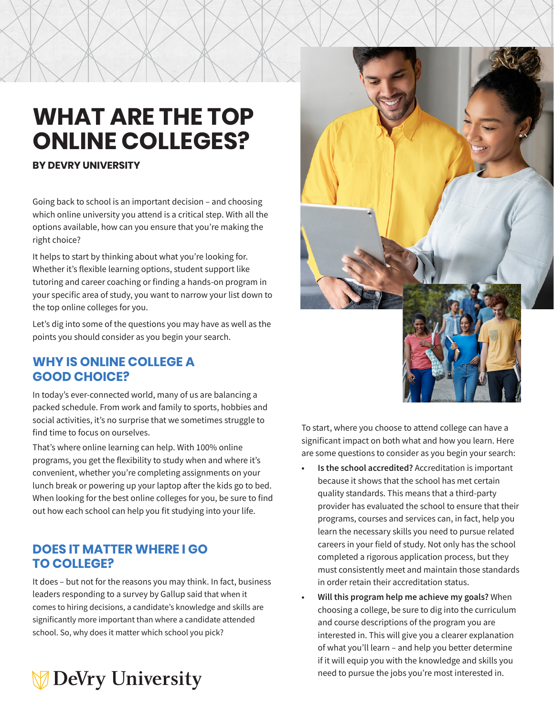# **WHAT ARE THE TOP ONLINE COLLEGES?**

#### **BY DEVRY UNIVERSITY**

Going back to school is an important decision – and choosing which online university you attend is a critical step. With all the options available, how can you ensure that you're making the right choice?

It helps to start by thinking about what you're looking for. Whether it's flexible learning options, student support like tutoring and career coaching or finding a hands-on program in your specific area of study, you want to narrow your list down to the top online colleges for you.

Let's dig into some of the questions you may have as well as the points you should consider as you begin your search.

## **WHY IS ONLINE COLLEGE A GOOD CHOICE?**

In today's ever-connected world, many of us are balancing a packed schedule. From work and family to sports, hobbies and social activities, it's no surprise that we sometimes struggle to find time to focus on ourselves.

That's where online learning can help. With 100% online programs, you get the flexibility to study when and where it's convenient, whether you're completing assignments on your lunch break or powering up your laptop after the kids go to bed. When looking for the best online colleges for you, be sure to find out how each school can help you fit studying into your life.

# **DOES IT MATTER WHERE I GO TO COLLEGE?**

It does – but not for the reasons you may think. In fact, business leaders responding to a survey by Gallup said that when it comes to hiring decisions, a candidate's knowledge and skills are significantly more important than where a candidate attended school. So, why does it matter which school you pick?





To start, where you choose to attend college can have a significant impact on both what and how you learn. Here are some questions to consider as you begin your search:

- **• Is the school accredited?** Accreditation is important because it shows that the school has met certain quality standards. This means that a third-party provider has evaluated the school to ensure that their programs, courses and services can, in fact, help you learn the necessary skills you need to pursue related careers in your field of study. Not only has the school completed a rigorous application process, but they must consistently meet and maintain those standards in order retain their accreditation status.
- **• Will this program help me achieve my goals?** When choosing a college, be sure to dig into the curriculum and course descriptions of the program you are interested in. This will give you a clearer explanation of what you'll learn – and help you better determine if it will equip you with the knowledge and skills you need to pursue the jobs you're most interested in.